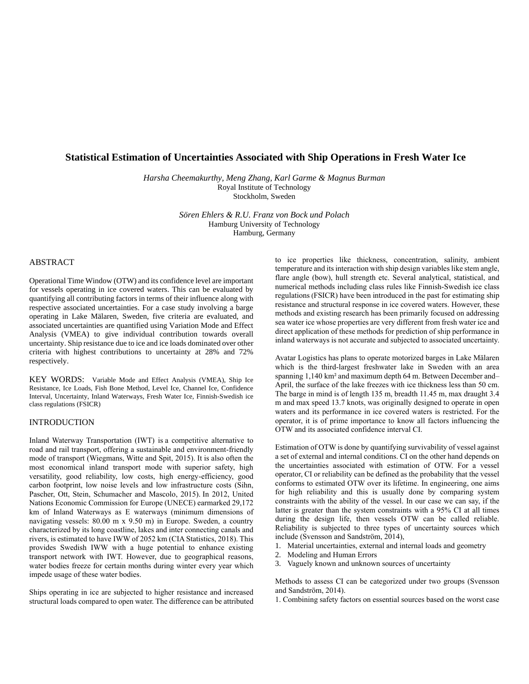# **Statistical Estimation of Uncertainties Associated with Ship Operations in Fresh Water Ice**

*Harsha Cheemakurthy, Meng Zhang, Karl Garme & Magnus Burman* Royal Institute of Technology Stockholm, Sweden

> *Sören Ehlers & R.U. Franz von Bock und Polach* Hamburg University of Technology Hamburg, Germany

## ABSTRACT

Operational Time Window (OTW) and its confidence level are important for vessels operating in ice covered waters. This can be evaluated by quantifying all contributing factors in terms of their influence along with respective associated uncertainties. For a case study involving a barge operating in Lake Mälaren, Sweden, five criteria are evaluated, and associated uncertainties are quantified using Variation Mode and Effect Analysis (VMEA) to give individual contribution towards overall uncertainty. Ship resistance due to ice and ice loads dominated over other criteria with highest contributions to uncertainty at 28% and 72% respectively.

KEY WORDS: Variable Mode and Effect Analysis (VMEA), Ship Ice Resistance, Ice Loads, Fish Bone Method, Level Ice, Channel Ice, Confidence Interval, Uncertainty, Inland Waterways, Fresh Water Ice, Finnish-Swedish ice class regulations (FSICR)

## INTRODUCTION

Inland Waterway Transportation (IWT) is a competitive alternative to road and rail transport, offering a sustainable and environment-friendly mode of transport (Wiegmans, Witte and Spit, 2015). It is also often the most economical inland transport mode with superior safety, high versatility, good reliability, low costs, high energy-efficiency, good carbon footprint, low noise levels and low infrastructure costs (Sihn, Pascher, Ott, Stein, Schumacher and Mascolo, 2015). In 2012, United Nations Economic Commission for Europe (UNECE) earmarked 29,172 km of Inland Waterways as E waterways (minimum dimensions of navigating vessels: 80.00 m x 9.50 m) in Europe. Sweden, a country characterized by its long coastline, lakes and inter connecting canals and rivers, is estimated to have IWW of 2052 km (CIA Statistics, 2018). This provides Swedish IWW with a huge potential to enhance existing transport network with IWT. However, due to geographical reasons, water bodies freeze for certain months during winter every year which impede usage of these water bodies.

Ships operating in ice are subjected to higher resistance and increased structural loads compared to open water. The difference can be attributed to ice properties like thickness, concentration, salinity, ambient temperature and its interaction with ship design variables like stem angle, flare angle (bow), hull strength etc. Several analytical, statistical, and numerical methods including class rules like Finnish-Swedish ice class regulations (FSICR) have been introduced in the past for estimating ship resistance and structural response in ice covered waters. However, these methods and existing research has been primarily focused on addressing sea water ice whose properties are very different from fresh water ice and direct application of these methods for prediction of ship performance in inland waterways is not accurate and subjected to associated uncertainty.

Avatar Logistics has plans to operate motorized barges in Lake Mälaren which is the third-largest freshwater lake in Sweden with an area spanning 1,140 km² and maximum depth 64 m. Between December and– April, the surface of the lake freezes with ice thickness less than 50 cm. The barge in mind is of length 135 m, breadth 11.45 m, max draught 3.4 m and max speed 13.7 knots, was originally designed to operate in open waters and its performance in ice covered waters is restricted. For the operator, it is of prime importance to know all factors influencing the OTW and its associated confidence interval CI.

Estimation of OTW is done by quantifying survivability of vessel against a set of external and internal conditions. CI on the other hand depends on the uncertainties associated with estimation of OTW. For a vessel operator, CI or reliability can be defined as the probability that the vessel conforms to estimated OTW over its lifetime. In engineering, one aims for high reliability and this is usually done by comparing system constraints with the ability of the vessel. In our case we can say, if the latter is greater than the system constraints with a 95% CI at all times during the design life, then vessels OTW can be called reliable. Reliability is subjected to three types of uncertainty sources which include (Svensson and Sandström, 2014),

- 1. Material uncertainties, external and internal loads and geometry
- 2. Modeling and Human Errors
- 3. Vaguely known and unknown sources of uncertainty

Methods to assess CI can be categorized under two groups (Svensson and Sandström, 2014).

1. Combining safety factors on essential sources based on the worst case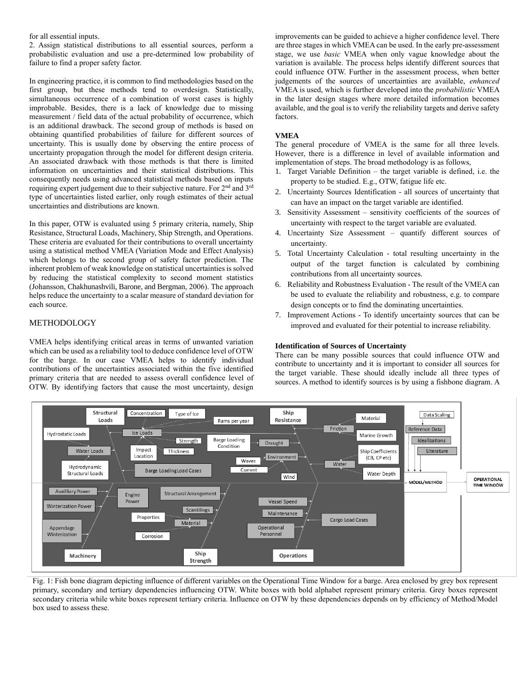## for all essential inputs.

2. Assign statistical distributions to all essential sources, perform a probabilistic evaluation and use a pre-determined low probability of failure to find a proper safety factor.

In engineering practice, it is common to find methodologies based on the first group, but these methods tend to overdesign. Statistically, simultaneous occurrence of a combination of worst cases is highly improbable. Besides, there is a lack of knowledge due to missing measurement / field data of the actual probability of occurrence, which is an additional drawback. The second group of methods is based on obtaining quantified probabilities of failure for different sources of uncertainty. This is usually done by observing the entire process of uncertainty propagation through the model for different design criteria. An associated drawback with those methods is that there is limited information on uncertainties and their statistical distributions. This consequently needs using advanced statistical methods based on inputs requiring expert judgement due to their subjective nature. For 2<sup>nd</sup> and 3<sup>rd</sup> type of uncertainties listed earlier, only rough estimates of their actual uncertainties and distributions are known.

In this paper, OTW is evaluated using 5 primary criteria, namely, Ship Resistance, Structural Loads, Machinery, Ship Strength, and Operations. These criteria are evaluated for their contributions to overall uncertainty using a statistical method VMEA (Variation Mode and Effect Analysis) which belongs to the second group of safety factor prediction. The inherent problem of weak knowledge on statistical uncertainties is solved by reducing the statistical complexity to second moment statistics (Johansson, Chakhunashvili, Barone, and Bergman, 2006). The approach helps reduce the uncertainty to a scalar measure of standard deviation for each source.

# METHODOLOGY

VMEA helps identifying critical areas in terms of unwanted variation which can be used as a reliability tool to deduce confidence level of OTW for the barge. In our case VMEA helps to identify individual contributions of the uncertainties associated within the five identified primary criteria that are needed to assess overall confidence level of OTW. By identifying factors that cause the most uncertainty, design

improvements can be guided to achieve a higher confidence level. There are three stages in which VMEA can be used. In the early pre-assessment stage, we use *basic* VMEA when only vague knowledge about the variation is available. The process helps identify different sources that could influence OTW. Further in the assessment process, when better judgements of the sources of uncertainties are available, *enhanced* VMEA is used, which is further developed into the *probabilistic* VMEA in the later design stages where more detailed information becomes available, and the goal is to verify the reliability targets and derive safety factors.

## **VMEA**

The general procedure of VMEA is the same for all three levels. However, there is a difference in level of available information and implementation of steps. The broad methodology is as follows,

- 1. Target Variable Definition the target variable is defined, i.e. the property to be studied. E.g., OTW, fatigue life etc.
- 2. Uncertainty Sources Identification all sources of uncertainty that can have an impact on the target variable are identified.
- 3. Sensitivity Assessment sensitivity coefficients of the sources of uncertainty with respect to the target variable are evaluated.
- 4. Uncertainty Size Assessment quantify different sources of uncertainty.
- 5. Total Uncertainty Calculation total resulting uncertainty in the output of the target function is calculated by combining contributions from all uncertainty sources.
- 6. Reliability and Robustness Evaluation The result of the VMEA can be used to evaluate the reliability and robustness, e.g. to compare design concepts or to find the dominating uncertainties.
- 7. Improvement Actions To identify uncertainty sources that can be improved and evaluated for their potential to increase reliability.

## **Identification of Sources of Uncertainty**

There can be many possible sources that could influence OTW and contribute to uncertainty and it is important to consider all sources for the target variable. These should ideally include all three types of sources. A method to identify sources is by using a fishbone diagram. A



Fig. 1: Fish bone diagram depicting influence of different variables on the Operational Time Window for a barge. Area enclosed by grey box represent primary, secondary and tertiary dependencies influencing OTW. White boxes with bold alphabet represent primary criteria. Grey boxes represent secondary criteria while white boxes represent tertiary criteria. Influence on OTW by these dependencies depends on by efficiency of Method/Model box used to assess these.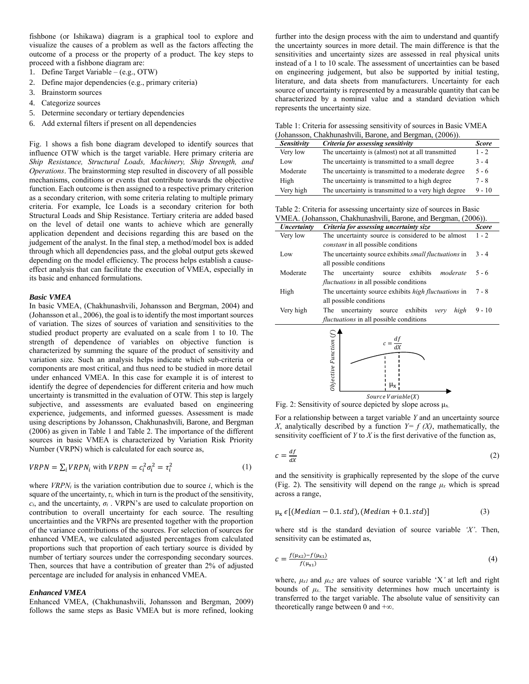fishbone (or Ishikawa) diagram is a graphical tool to explore and visualize the causes of a problem as well as the factors affecting the outcome of a process or the property of a product. The key steps to proceed with a fishbone diagram are:

- 1. Define Target Variable (e.g., OTW)
- 2. Define major dependencies (e.g., primary criteria)
- 3. Brainstorm sources
- 4. Categorize sources
- 5. Determine secondary or tertiary dependencies
- 6. Add external filters if present on all dependencies

Fig. 1 shows a fish bone diagram developed to identify sources that influence OTW which is the target variable. Here primary criteria are *Ship Resistance, Structural Loads, Machinery, Ship Strength, and Operations*. The brainstorming step resulted in discovery of all possible mechanisms, conditions or events that contribute towards the objective function. Each outcome is then assigned to a respective primary criterion as a secondary criterion, with some criteria relating to multiple primary criteria. For example, Ice Loads is a secondary criterion for both Structural Loads and Ship Resistance. Tertiary criteria are added based on the level of detail one wants to achieve which are generally application dependent and decisions regarding this are based on the judgement of the analyst. In the final step, a method/model box is added through which all dependencies pass, and the global output gets skewed depending on the model efficiency. The process helps establish a causeeffect analysis that can facilitate the execution of VMEA, especially in its basic and enhanced formulations.

## *Basic VMEA*

In basic VMEA, (Chakhunashvili, Johansson and Bergman, 2004) and (Johansson et al., 2006), the goal is to identify the most important sources of variation. The sizes of sources of variation and sensitivities to the studied product property are evaluated on a scale from 1 to 10. The strength of dependence of variables on objective function is characterized by summing the square of the product of sensitivity and variation size. Such an analysis helps indicate which sub-criteria or components are most critical, and thus need to be studied in more detail under enhanced VMEA. In this case for example it is of interest to identify the degree of dependencies for different criteria and how much uncertainty is transmitted in the evaluation of OTW. This step is largely subjective, and assessments are evaluated based on engineering experience, judgements, and informed guesses. Assessment is made using descriptions by Johansson, Chakhunashvili, Barone, and Bergman (2006) as given in Table 1 and Table 2. The importance of the different sources in basic VMEA is characterized by Variation Risk Priority Number (VRPN) which is calculated for each source as,

$$
VRPN = \sum_{i} VRPN_i \text{ with } VRPN = c_i^2 \sigma_i^2 = \tau_i^2 \tag{1}
$$

where *VRPN<sup>i</sup>* is the variation contribution due to source *i*, which is the square of the uncertainty,  $\tau_i$ , which in turn is the product of the sensitivity,  $c_i$ , and the uncertainty,  $\sigma_i$ . VRPN's are used to calculate proportion on contribution to overall uncertainty for each source. The resulting uncertainties and the VRPNs are presented together with the proportion of the variance contributions of the sources. For selection of sources for enhanced VMEA, we calculated adjusted percentages from calculated proportions such that proportion of each tertiary source is divided by number of tertiary sources under the corresponding secondary sources. Then, sources that have a contribution of greater than 2% of adjusted percentage are included for analysis in enhanced VMEA.

### *Enhanced VMEA*

Enhanced VMEA, (Chakhunashvili, Johansson and Bergman, 2009) follows the same steps as Basic VMEA but is more refined, looking further into the design process with the aim to understand and quantify the uncertainty sources in more detail. The main difference is that the sensitivities and uncertainty sizes are assessed in real physical units instead of a 1 to 10 scale. The assessment of uncertainties can be based on engineering judgement, but also be supported by initial testing, literature, and data sheets from manufacturers. Uncertainty for each source of uncertainty is represented by a measurable quantity that can be characterized by a nominal value and a standard deviation which represents the uncertainty size.

Table 1: Criteria for assessing sensitivity of sources in Basic VMEA (Johansson, Chakhunashvili, Barone, and Bergman, (2006)).

| $J$ onansson, Chamanant In, Darone, and Dergman, $(2000)$ |                                                      |          |  |  |  |
|-----------------------------------------------------------|------------------------------------------------------|----------|--|--|--|
| Sensitivity                                               | <b>Score</b>                                         |          |  |  |  |
| Very low                                                  | The uncertainty is (almost) not at all transmitted   | $1 - 2$  |  |  |  |
| Low                                                       | The uncertainty is transmitted to a small degree     | $3 - 4$  |  |  |  |
| Moderate                                                  | The uncertainty is transmitted to a moderate degree  | $5 - 6$  |  |  |  |
| High                                                      | The uncertainty is transmitted to a high degree      | $7 - 8$  |  |  |  |
| Very high                                                 | The uncertainty is transmitted to a very high degree | $9 - 10$ |  |  |  |

Table 2: Criteria for assessing uncertainty size of sources in Basic VMEA. (Johansson, Chakhunashvili, Barone, and Bergman, (2006)).

| Uncertainty | Criteria for assessing uncertainty size                      |          |  |  |  |
|-------------|--------------------------------------------------------------|----------|--|--|--|
| Very low    | The uncertainty source is considered to be almost            |          |  |  |  |
|             | <i>constant</i> in all possible conditions                   |          |  |  |  |
| Low         | The uncertainty source exhibits <i>small fluctuations</i> in |          |  |  |  |
|             | all possible conditions                                      |          |  |  |  |
| Moderate    | uncertainty source<br>exhibits<br>moderate<br>The            | $5 - 6$  |  |  |  |
|             | <i>fluctuations</i> in all possible conditions               |          |  |  |  |
| High        | The uncertainty source exhibits <i>high fluctuations</i> in  |          |  |  |  |
|             | all possible conditions                                      |          |  |  |  |
| Very high   | The uncertainty source exhibits<br>high<br>very              | $9 - 10$ |  |  |  |
|             | <i>fluctuations</i> in all possible conditions               |          |  |  |  |



Fig. 2: Sensitivity of source depicted by slope across  $\mu_{x}$ .

For a relationship between a target variable *Y* and an uncertainty source *X*, analytically described by a function  $Y = f(X)$ , mathematically, the sensitivity coefficient of  $Y$  to  $X$  is the first derivative of the function as,

$$
c = \frac{df}{dx} \tag{2}
$$

and the sensitivity is graphically represented by the slope of the curve (Fig. 2). The sensitivity will depend on the range  $\mu_x$  which is spread across a range,

$$
\mu_x \in [(Median - 0.1. std), (Median + 0.1. std)] \tag{3}
$$

where std is the standard deviation of source variable *'X'*. Then, sensitivity can be estimated as,

$$
c = \frac{f(\mu_{x2}) - f(\mu_{x1})}{f(\mu_{x1})}
$$
(4)

where,  $\mu_{x1}$  and  $\mu_{x2}$  are values of source variable 'X' at left and right bounds of  $\mu$ *x*.. The sensitivity determines how much uncertainty is transferred to the target variable. The absolute value of sensitivity can theoretically range between 0 and  $+\infty$ .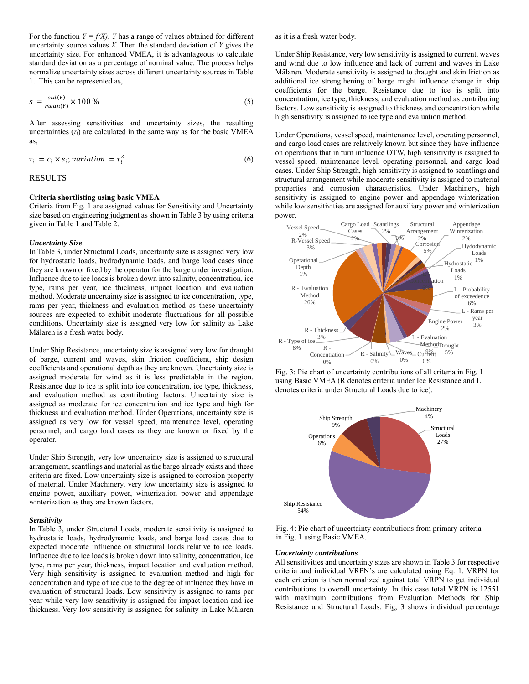For the function  $Y = f(X)$ , *Y* has a range of values obtained for different uncertainty source values *X*. Then the standard deviation of *Y* gives the uncertainty size. For enhanced VMEA, it is advantageous to calculate standard deviation as a percentage of nominal value. The process helps normalize uncertainty sizes across different uncertainty sources in Table 1. This can be represented as,

$$
s = \frac{std(Y)}{mean(Y)} \times 100\% \tag{5}
$$

After assessing sensitivities and uncertainty sizes, the resulting uncertainties  $(\tau_i)$  are calculated in the same way as for the basic VMEA as,

$$
\tau_i = c_i \times s_i; variation = \tau_i^2 \tag{6}
$$

## RESULTS

### **Criteria shortlisting using basic VMEA**

Criteria from Fig. 1 are assigned values for Sensitivity and Uncertainty size based on engineering judgment as shown in Table 3 by using criteria given in Table 1 and Table 2.

### *Uncertainty Size*

In Table 3, under Structural Loads, uncertainty size is assigned very low for hydrostatic loads, hydrodynamic loads, and barge load cases since they are known or fixed by the operator for the barge under investigation. Influence due to ice loads is broken down into salinity, concentration, ice type, rams per year, ice thickness, impact location and evaluation method. Moderate uncertainty size is assigned to ice concentration, type, rams per year, thickness and evaluation method as these uncertainty sources are expected to exhibit moderate fluctuations for all possible conditions. Uncertainty size is assigned very low for salinity as Lake Mälaren is a fresh water body.

Under Ship Resistance, uncertainty size is assigned very low for draught of barge, current and waves, skin friction coefficient, ship design coefficients and operational depth as they are known. Uncertainty size is assigned moderate for wind as it is less predictable in the region. Resistance due to ice is split into ice concentration, ice type, thickness, and evaluation method as contributing factors. Uncertainty size is assigned as moderate for ice concentration and ice type and high for thickness and evaluation method. Under Operations, uncertainty size is assigned as very low for vessel speed, maintenance level, operating personnel, and cargo load cases as they are known or fixed by the operator.

Under Ship Strength, very low uncertainty size is assigned to structural arrangement, scantlings and material as the barge already exists and these criteria are fixed. Low uncertainty size is assigned to corrosion property of material. Under Machinery, very low uncertainty size is assigned to engine power, auxiliary power, winterization power and appendage winterization as they are known factors.

#### *Sensitivity*

In Table 3, under Structural Loads, moderate sensitivity is assigned to hydrostatic loads, hydrodynamic loads, and barge load cases due to expected moderate influence on structural loads relative to ice loads. Influence due to ice loads is broken down into salinity, concentration, ice type, rams per year, thickness, impact location and evaluation method. Very high sensitivity is assigned to evaluation method and high for concentration and type of ice due to the degree of influence they have in evaluation of structural loads. Low sensitivity is assigned to rams per year while very low sensitivity is assigned for impact location and ice thickness. Very low sensitivity is assigned for salinity in Lake Mälaren as it is a fresh water body.

Under Ship Resistance, very low sensitivity is assigned to current, waves and wind due to low influence and lack of current and waves in Lake Mälaren. Moderate sensitivity is assigned to draught and skin friction as additional ice strengthening of barge might influence change in ship coefficients for the barge. Resistance due to ice is split into concentration, ice type, thickness, and evaluation method as contributing factors. Low sensitivity is assigned to thickness and concentration while high sensitivity is assigned to ice type and evaluation method.

Under Operations, vessel speed, maintenance level, operating personnel, and cargo load cases are relatively known but since they have influence on operations that in turn influence OTW, high sensitivity is assigned to vessel speed, maintenance level, operating personnel, and cargo load cases. Under Ship Strength, high sensitivity is assigned to scantlings and structural arrangement while moderate sensitivity is assigned to material properties and corrosion characteristics. Under Machinery, high sensitivity is assigned to engine power and appendage winterization while low sensitivities are assigned for auxiliary power and winterization power.



Fig. 3: Pie chart of uncertainty contributions of all criteria in Fig. 1 using Basic VMEA (R denotes criteria under Ice Resistance and L denotes criteria under Structural Loads due to ice).



Fig. 4: Pie chart of uncertainty contributions from primary criteria in Fig. 1 using Basic VMEA.

#### *Uncertainty contributions*

All sensitivities and uncertainty sizes are shown in Table 3 for respective criteria and individual VRPN's are calculated using Eq. 1. VRPN for each criterion is then normalized against total VRPN to get individual contributions to overall uncertainty. In this case total VRPN is 12551 with maximum contributions from Evaluation Methods for Ship Resistance and Structural Loads. Fig, 3 shows individual percentage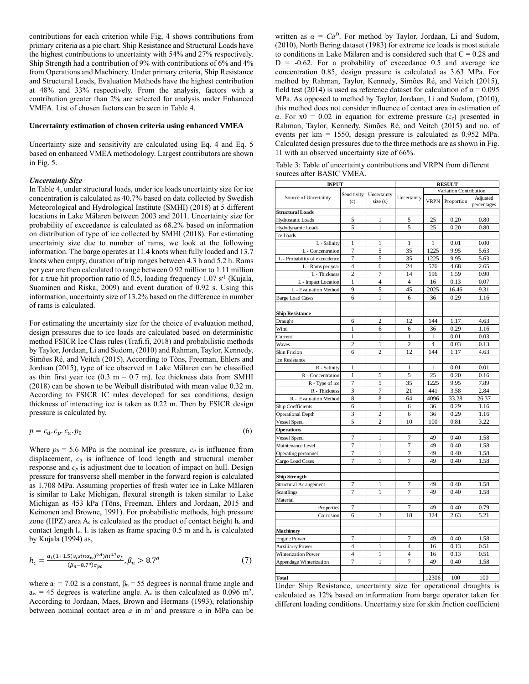contributions for each criterion while Fig, 4 shows contributions from primary criteria as a pie chart. Ship Resistance and Structural Loads have the highest contributions to uncertainty with 54% and 27% respectively. Ship Strength had a contribution of 9% with contributions of 6% and 4% from Operations and Machinery. Under primary criteria, Ship Resistance and Structural Loads, Evaluation Methods have the highest contribution at 48% and 33% respectively. From the analysis, factors with a contribution greater than 2% are selected for analysis under Enhanced VMEA. List of chosen factors can be seen in Table 4.

#### **Uncertainty estimation of chosen criteria using enhanced VMEA**

Uncertainty size and sensitivity are calculated using Eq. 4 and Eq. 5 based on enhanced VMEA methodology. Largest contributors are shown in Fig. 5.

## *Uncertainty Size*

In Table 4, under structural loads, under ice loads uncertainty size for ice concentration is calculated as 40.7% based on data collected by Swedish Meteorological and Hydrological Institute (SMHI) (2018) at 5 different locations in Lake Mälaren between 2003 and 2011. Uncertainty size for probability of exceedance is calculated as 68.2% based on information on distribution of type of ice collected by SMHI (2018). For estimating uncertainty size due to number of rams, we look at the following information. The barge operates at 11.4 knots when fully loaded and 13.7 knots when empty, duration of trip ranges between 4.3 h and 5.2 h. Rams per year are then calculated to range between 0.92 million to 1.11 million for a true hit proportion ratio of 0.5, loading frequency  $1.07 s<sup>-1</sup>$  (Kujala, Suominen and Riska, 2009) and event duration of 0.92 s. Using this information, uncertainty size of 13.2% based on the difference in number of rams is calculated.

For estimating the uncertainty size for the choice of evaluation method, design pressures due to ice loads are calculated based on deterministic method FSICR Ice Class rules (Trafi.fi, 2018) and probabilistic methods by Taylor, Jordaan, Li and Sudom, (2010) and Rahman, Taylor, Kennedy, Simões Ré, and Veitch (2015). According to Tõns, Freeman, Ehlers and Jordaan (2015), type of ice observed in Lake Mälaren can be classified as thin first year ice  $(0.3 \text{ m} - 0.7 \text{ m})$ . Ice thickness data from SMHI (2018) can be shown to be Weibull distributed with mean value 0.32 m. According to FSICR IC rules developed for sea conditions, design thickness of interacting ice is taken as 0.22 m. Then by FSICR design pressure is calculated by,

$$
p = c_d \cdot c_p \cdot c_a \cdot p_0 \tag{6}
$$

Where  $p_0 = 5.6$  MPa is the nominal ice pressure,  $c_d$  is influence from displacement, *c<sup>a</sup>* is influence of load length and structural member response and *c<sup>p</sup>* is adjustment due to location of impact on hull. Design pressure for transverse shell member in the forward region is calculated as 1.708 MPa. Assuming properties of fresh water ice in Lake Mälaren is similar to Lake Michigan, flexural strength is taken similar to Lake Michigan as 453 kPa (Tõns, Freeman, Ehlers and Jordaan, 2015 and Keinonen and Browne, 1991). For probabilistic methods, high pressure zone (HPZ) area  $A_c$  is calculated as the product of contact height  $h_c$  and contact length  $l_c$ .  $l_c$  is taken as frame spacing 0.5 m and  $h_c$  is calculated by Kujala (1994) as,

$$
h_c = \frac{a_1 (1 + 1.5(v_i \sin \alpha_w)^{0.4}) h^{1.7} \sigma_f}{(\beta_n - 8.7^0) \sigma_{pc}}, \beta_n > 8.7^o \tag{7}
$$

where  $a_1 = 7.02$  is a constant,  $\beta_n = 55$  degrees is normal frame angle and  $a_w = 45$  degrees is waterline angle. A<sub>c</sub> is then calculated as 0.096 m<sup>2</sup>. According to Jordaan, Maes, Brown and Hermans (1993), relationship between nominal contact area  $a$  in m<sup>2</sup> and pressure  $\alpha$  in MPa can be

written as  $\alpha = Ca^D$ . For method by Taylor, Jordaan, Li and Sudom, (2010), North Bering dataset (1983) for extreme ice loads is most suitale to conditions in Lake Mälaren and is considered such that  $C = 0.28$  and  $D = -0.62$ . For a probability of exceedance 0.5 and average ice concentration 0.85, design pressure is calculated as 3.63 MPa. For method by Rahman, Taylor, Kennedy, Simões Ré, and Veitch (2015), field test (2014) is used as reference dataset for calculation of  $\alpha = 0.095$ MPa. As opposed to method by Taylor, Jordaan, Li and Sudom, (2010), this method does not consider influence of contact area in estimation of α. For x0 = 0.02 in equation for extreme pressure (*ze*) presented in Rahman, Taylor, Kennedy, Simões Ré, and Veitch (2015) and no. of events per km = 1550, design pressure is calculated as 0.952 MPa. Calculated design pressures due to the three methods are as shown in Fig. 11 with an observed uncertainty size of 66%.

Table 3: Table of uncertainty contributions and VRPN from different sources after BASIC VMEA.

| <b>INPUT</b>                  |                            |                | <b>RESULT</b>            | Adjusted<br>percentages |            |       |  |
|-------------------------------|----------------------------|----------------|--------------------------|-------------------------|------------|-------|--|
|                               | Sensitivity<br>Uncertainty |                |                          | Variation Contribution  |            |       |  |
| Source of Uncertainty         | (c)                        | size (s)       | Uncertainty              | <b>VRPN</b>             | Proportion |       |  |
| <b>Structural Loads</b>       |                            |                |                          |                         |            |       |  |
| <b>Hydrostatic Loads</b>      | 5                          | $\mathbf{1}$   | 5                        | 25                      | 0.20       | 0.80  |  |
| Hydodynamic Loads             | 5                          | $\mathbf{1}$   | 5                        | 25                      | 0.20       | 0.80  |  |
| Ice Loads                     |                            |                |                          |                         |            |       |  |
| L - Salinity                  | 1                          | 1              | 1                        | 1                       | 0.01       | 0.00  |  |
| L - Concentration             | $\overline{7}$             | 5              | 35                       | 1225                    | 9.95       | 5.63  |  |
| L - Probability of exceedence | $\tau$                     | 5              | 35                       | 1225                    | 9.95       | 5.63  |  |
| L - Rams per year             | $\overline{4}$             | 6              | 24                       | 576                     | 4.68       | 2.65  |  |
| L - Thickness                 | $\overline{c}$             | $\overline{7}$ | 14                       | 196                     | 1.59       | 0.90  |  |
| L - Impact Location           | $\mathbf{1}$               | $\overline{4}$ | $\overline{4}$           | 16                      | 0.13       | 0.07  |  |
| L - Evaluation Method         | 9                          | 5              | 45                       | 2025                    | 16.46      | 9.31  |  |
| <b>Barge Load Cases</b>       | 6                          | $\mathbf{1}$   | 6                        | 36                      | 0.29       | 1.16  |  |
| <b>Ship Resistance</b>        |                            |                |                          |                         |            |       |  |
| Draught                       | 6                          | $\overline{c}$ | 12                       | 144                     | 1.17       | 4.63  |  |
| Wind                          | 1                          | 6              | 6                        | 36                      | 0.29       | 1.16  |  |
| Current                       | $\mathbf{1}$               | $\mathbf{1}$   | $\mathbf{1}$             | 1                       | 0.01       | 0.03  |  |
| Waves                         | $\overline{c}$             | $\mathbf{1}$   | $\overline{c}$           | 4                       | 0.03       | 0.13  |  |
| Skin Fricion                  | 6                          | $\overline{c}$ | 12                       | 144                     | 1.17       | 4.63  |  |
| Ice Resistance                |                            |                |                          |                         |            |       |  |
| R - Salinity                  | 1                          | 1              | $\mathbf{1}$             | 1                       | 0.01       | 0.01  |  |
| R - Concentration             | $\mathbf{1}$               | 5              | 5                        | 25                      | 0.20       | 0.16  |  |
| R - Type of ice               | $\overline{7}$             | 5              | 35                       | 1225                    | 9.95       | 7.89  |  |
| R - Thickness                 | 3                          | 7              | 21                       | 441                     | 3.58       | 2.84  |  |
| R - Evaluation Method         | 8                          | 8              | 64                       | 4096                    | 33.28      | 26.37 |  |
| Ship Coefficients             | 6                          | $\mathbf{1}$   | 6                        | 36                      | 0.29       | 1.16  |  |
| <b>Operational Depth</b>      | 3                          | $\overline{c}$ | 6                        | 36                      | 0.29       | 1.16  |  |
| Vessel Speed                  | 5                          | $\overline{c}$ | 10                       | 100                     | 0.81       | 3.22  |  |
| <b>Operations</b>             |                            |                |                          |                         |            |       |  |
| Vessel Speed                  | 7                          | $\mathbf{1}$   | $\overline{7}$           | 49                      | 0.40       | 1.58  |  |
| Maintenance Level             | $\overline{7}$             | $\mathbf{1}$   | $\overline{7}$           | 49                      | 0.40       | 1.58  |  |
| Operating personnel           | 7                          | $\mathbf{1}$   | $\overline{7}$           | 49                      | 0.40       | 1.58  |  |
| Cargo Load Cases              | $\overline{7}$             | 1              | 7                        | 49                      | 0.40       | 1.58  |  |
| Ship Strength                 |                            |                |                          |                         |            |       |  |
| Structural Arrangement        | 7                          | 1              | 7                        | 49                      | 0.40       | 1.58  |  |
| Scantlings                    | $\overline{7}$             | $\mathbf{1}$   | $\overline{7}$           | 49                      | 0.40       | 1.58  |  |
| Material                      |                            |                |                          |                         |            |       |  |
| Properties                    | $\overline{7}$             | 1              | 7                        | 49                      | 0.40       | 0.79  |  |
| Corrosion                     | 6                          | 3              | 18                       | 324                     | 2.63       | 5.21  |  |
|                               |                            |                |                          |                         |            |       |  |
| Machinery                     |                            |                |                          |                         |            |       |  |
| <b>Engine Power</b>           | $\overline{7}$             | $\mathbf{1}$   | $\overline{7}$           | 49                      | 0.40       | 1.58  |  |
| <b>Auxiliarry Power</b>       | $\overline{4}$             | $\mathbf{1}$   | 4                        | 16                      | 0.13       | 0.51  |  |
| Winterization Power           | $\overline{4}$             | $\mathbf{1}$   | $\overline{\mathcal{L}}$ | 16                      | 0.13       | 0.51  |  |
| Appendage Winterization       | $\overline{7}$             | $\mathbf{1}$   | $\overline{7}$           | 49                      | 0.40       | 1.58  |  |
|                               |                            |                |                          |                         |            |       |  |
| Total                         |                            |                |                          | 12306                   | 100        | 100   |  |

Under Ship Resistance, uncertainty size for operational draughts is calculated as 12% based on information from barge operator taken for different loading conditions. Uncertainty size for skin friction coefficient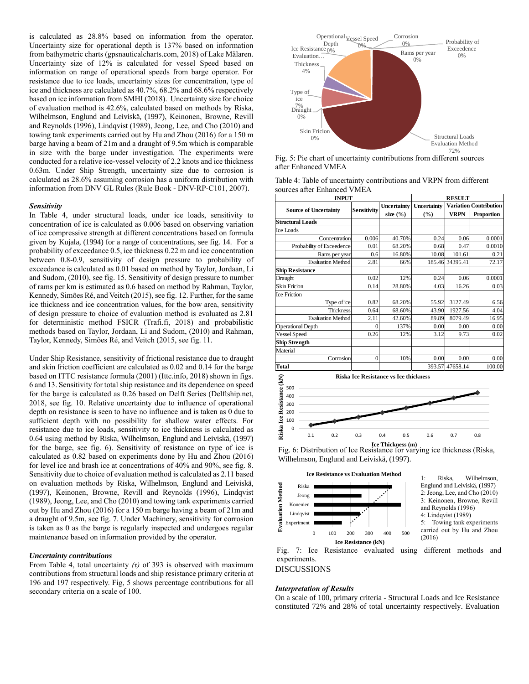is calculated as 28.8% based on information from the operator. Uncertainty size for operational depth is 137% based on information from bathymetric charts (gpsnauticalcharts.com, 2018) of Lake Mälaren. Uncertainty size of 12% is calculated for vessel Speed based on information on range of operational speeds from barge operator. For resistance due to ice loads, uncertainty sizes for concentration, type of ice and thickness are calculated as 40.7%, 68.2% and 68.6% respectively based on ice information from SMHI (2018). Uncertainty size for choice of evaluation method is 42.6%, calculated based on methods by Riska, Wilhelmson, Englund and Leiviskä, (1997), Keinonen, Browne, Revill and Reynolds (1996), Lindqvist (1989), Jeong, Lee, and Cho (2010) and towing tank experiments carried out by Hu and Zhou (2016) for a 150 m barge having a beam of 21m and a draught of 9.5m which is comparable in size with the barge under investigation. The experiments were conducted for a relative ice-vessel velocity of 2.2 knots and ice thickness 0.63m. Under Ship Strength, uncertainty size due to corrosion is calculated as 28.6% assuming corrosion has a uniform distribution with information from DNV GL Rules (Rule Book - DNV-RP-C101, 2007).

### *Sensitivity*

In Table 4, under structural loads, under ice loads, sensitivity to concentration of ice is calculated as 0.006 based on observing variation of ice compressive strength at different concentrations based on formula given by Kujala, (1994) for a range of concentrations, see fig. 14. For a probability of exceedance 0.5, ice thickness 0.22 m and ice concentration between 0.8-0.9, sensitivity of design pressure to probability of exceedance is calculated as 0.01 based on method by Taylor, Jordaan, Li and Sudom, (2010), see fig. 15. Sensitivity of design pressure to number of rams per km is estimated as 0.6 based on method by Rahman, Taylor, Kennedy, Simões Ré, and Veitch (2015), see fig. 12. Further, for the same ice thickness and ice concentration values, for the bow area, sensitivity of design pressure to choice of evaluation method is evaluated as 2.81 for deterministic method FSICR (Trafi.fi, 2018) and probabilistic methods based on Taylor, Jordaan, Li and Sudom, (2010) and Rahman, Taylor, Kennedy, Simões Ré, and Veitch (2015, see fig. 11.

Under Ship Resistance, sensitivity of frictional resistance due to draught and skin friction coefficient are calculated as 0.02 and 0.14 for the barge based on ITTC resistance formula (2001) (Ittc.info, 2018) shown in figs. 6 and 13. Sensitivity for total ship resistance and its dependence on speed for the barge is calculated as 0.26 based on Delft Series (Delftship.net, 2018, see fig. 10. Relative uncertainty due to influence of operational depth on resistance is seen to have no influence and is taken as 0 due to sufficient depth with no possibility for shallow water effects. For resistance due to ice loads, sensitivity to ice thickness is calculated as 0.64 using method by Riska, Wilhelmson, Englund and Leiviskä, (1997) for the barge, see fig. 6). Sensitivity of resistance on type of ice is calculated as 0.82 based on experiments done by Hu and Zhou (2016) for level ice and brash ice at concentrations of 40% and 90%, see fig. 8. Sensitivity due to choice of evaluation method is calculated as 2.11 based on evaluation methods by Riska, Wilhelmson, Englund and Leiviskä, (1997), Keinonen, Browne, Revill and Reynolds (1996), Lindqvist (1989), Jeong, Lee, and Cho (2010) and towing tank experiments carried out by Hu and Zhou (2016) for a 150 m barge having a beam of 21m and a draught of 9.5m, see fig. 7. Under Machinery, sensitivity for corrosion is taken as 0 as the barge is regularly inspected and undergoes regular maintenance based on information provided by the operator.

### *Uncertainty contributions*

From Table 4, total uncertainty *(τ)* of 393 is observed with maximum contributions from structural loads and ship resistance primary criteria at 196 and 197 respectively. Fig, 5 shows percentage contributions for all secondary criteria on a scale of 100.



Fig. 5: Pie chart of uncertainty contributions from different sources after Enhanced VMEA

| Table 4: Table of uncertainty contributions and VRPN from different |
|---------------------------------------------------------------------|
| sources after Enhanced VMEA                                         |

| <b>INPUT</b>                 | <b>RESULT</b>      |              |             |                               |            |
|------------------------------|--------------------|--------------|-------------|-------------------------------|------------|
| <b>Source of Uncertainty</b> | <b>Sensitivity</b> | Uncertainty  | Uncertainty | <b>Variation Contribution</b> |            |
|                              |                    | size $(\% )$ | $($ %)      | <b>VRPN</b>                   | Proportion |
| <b>Structural Loads</b>      |                    |              |             |                               |            |
| <b>Ice Loads</b>             |                    |              |             |                               |            |
| Concentration                | 0.006              | 40.70%       | 0.24        | 0.06                          | 0.0001     |
| Probability of Exceedence    | 0.01               | 68.20%       | 0.68        | 0.47                          | 0.0010     |
| Rams per year                | 0.6                | 16.80%       | 10.08       | 101.61                        | 0.21       |
| <b>Evaluation Method</b>     | 2.81               | 66%          | 185.46      | 34395.41                      | 72.17      |
| <b>Ship Resistance</b>       |                    |              |             |                               |            |
| Draught                      | 0.02               | 12%          | 0.24        | 0.06                          | 0.0001     |
| <b>Skin Fricion</b>          | 0.14               | 28.80%       | 4.03        | 16.26                         | 0.03       |
| <b>Ice Friction</b>          |                    |              |             |                               |            |
| Type of ice                  | 0.82               | 68.20%       | 55.92       | 3127.49                       | 6.56       |
| <b>Thickness</b>             | 0.64               | 68.60%       | 43.90       | 1927.56                       | 4.04       |
| <b>Evaluation Method</b>     | 2.11               | 42.60%       | 89.89       | 8079.49                       | 16.95      |
| <b>Operational Depth</b>     | 0                  | 137%         | 0.00        | 0.00                          | 0.00       |
| Vessel Speed                 | 0.26               | 12%          | 3.12        | 9.73                          | 0.02       |
| <b>Ship Strength</b>         |                    |              |             |                               |            |
| Material                     |                    |              |             |                               |            |
| Corrosion                    | $\theta$           | 10%          | 0.00        | 0.00                          | 0.00       |
| <b>Total</b>                 |                    |              | 393.57      | 47658.14                      | 100.00     |



Fig. 6: Distribution of Ice Resistance for varying ice thickness (Riska, Wilhelmson, Englund and Leiviskä, (1997).



## *Interpretation of Results*

On a scale of 100, primary criteria - Structural Loads and Ice Resistance constituted 72% and 28% of total uncertainty respectively. Evaluation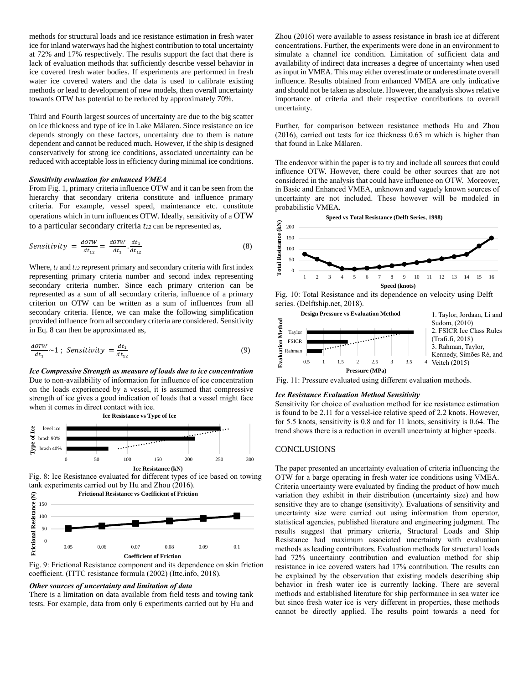methods for structural loads and ice resistance estimation in fresh water ice for inland waterways had the highest contribution to total uncertainty at 72% and 17% respectively. The results support the fact that there is lack of evaluation methods that sufficiently describe vessel behavior in ice covered fresh water bodies. If experiments are performed in fresh water ice covered waters and the data is used to calibrate existing methods or lead to development of new models, then overall uncertainty towards OTW has potential to be reduced by approximately 70%.

Third and Fourth largest sources of uncertainty are due to the big scatter on ice thickness and type of ice in Lake Mälaren. Since resistance on ice depends strongly on these factors, uncertainty due to them is nature dependent and cannot be reduced much. However, if the ship is designed conservatively for strong ice conditions, associated uncertainty can be reduced with acceptable loss in efficiency during minimal ice conditions.

#### *Sensitivity evaluation for enhanced VMEA*

From Fig. 1, primary criteria influence OTW and it can be seen from the hierarchy that secondary criteria constitute and influence primary criteria. For example, vessel speed, maintenance etc. constitute operations which in turn influences OTW. Ideally, sensitivity of a OTW to a particular secondary criteria *t<sup>12</sup>* can be represented as,

$$
Sensitivity = \frac{dOTW}{dt_{12}} = \frac{dOTW}{dt_1} \cdot \frac{dt_1}{dt_{12}} \tag{8}
$$

Where, *t<sup>1</sup>* and *t<sup>12</sup>* represent primary and secondary criteria with first index representing primary criteria number and second index representing secondary criteria number. Since each primary criterion can be represented as a sum of all secondary criteria, influence of a primary criterion on OTW can be written as a sum of influences from all secondary criteria. Hence, we can make the following simplification provided influence from all secondary criteria are considered. Sensitivity in Eq. 8 can then be approximated as,

$$
\frac{a\sigma\tau w}{dt_1} \sim 1 \; ; \; Sensitivity = \frac{dt_1}{dt_{12}} \tag{9}
$$

*Ice Compressive Strength as measure of loads due to ice concentration* Due to non-availability of information for influence of ice concentration on the loads experienced by a vessel, it is assumed that compressive strength of ice gives a good indication of loads that a vessel might face when it comes in direct contact with ice.



Fig. 8: Ice Resistance evaluated for different types of ice based on towing tank experiments carried out by Hu and Zhou (2016).

**Frictional Resistance vs Coefficient of Friction**



Fig. 9: Frictional Resistance component and its dependence on skin friction coefficient. (ITTC resistance formula (2002) (Ittc.info, 2018).

## *Other sources of uncertainty and limitation of data*

There is a limitation on data available from field tests and towing tank tests. For example, data from only 6 experiments carried out by Hu and Zhou (2016) were available to assess resistance in brash ice at different concentrations. Further, the experiments were done in an environment to simulate a channel ice condition. Limitation of sufficient data and availability of indirect data increases a degree of uncertainty when used as input in VMEA. This may either overestimate or underestimate overall influence. Results obtained from enhanced VMEA are only indicative and should not be taken as absolute. However, the analysis shows relative importance of criteria and their respective contributions to overall uncertainty.

Further, for comparison between resistance methods Hu and Zhou (2016), carried out tests for ice thickness 0.63 m which is higher than that found in Lake Mälaren.

The endeavor within the paper is to try and include all sources that could influence OTW. However, there could be other sources that are not considered in the analysis that could have influence on OTW. Moreover, in Basic and Enhanced VMEA, unknown and vaguely known sources of uncertainty are not included. These however will be modeled in probabilistic VMEA.



Fig. 10: Total Resistance and its dependence on velocity using Delft series. (Delftship.net, 2018).



Fig. 11: Pressure evaluated using different evaluation methods.

## *Ice Resistance Evaluation Method Sensitivity*

Sensitivity for choice of evaluation method for ice resistance estimation is found to be 2.11 for a vessel-ice relative speed of 2.2 knots. However, for 5.5 knots, sensitivity is 0.8 and for 11 knots, sensitivity is 0.64. The trend shows there is a reduction in overall uncertainty at higher speeds.

## **CONCLUSIONS**

The paper presented an uncertainty evaluation of criteria influencing the OTW for a barge operating in fresh water ice conditions using VMEA. Criteria uncertainty were evaluated by finding the product of how much variation they exhibit in their distribution (uncertainty size) and how sensitive they are to change (sensitivity). Evaluations of sensitivity and uncertainty size were carried out using information from operator, statistical agencies, published literature and engineering judgment. The results suggest that primary criteria, Structural Loads and Ship Resistance had maximum associated uncertainty with evaluation methods as leading contributors. Evaluation methods for structural loads had 72% uncertainty contribution and evaluation method for ship resistance in ice covered waters had 17% contribution. The results can be explained by the observation that existing models describing ship behavior in fresh water ice is currently lacking. There are several methods and established literature for ship performance in sea water ice but since fresh water ice is very different in properties, these methods cannot be directly applied. The results point towards a need for